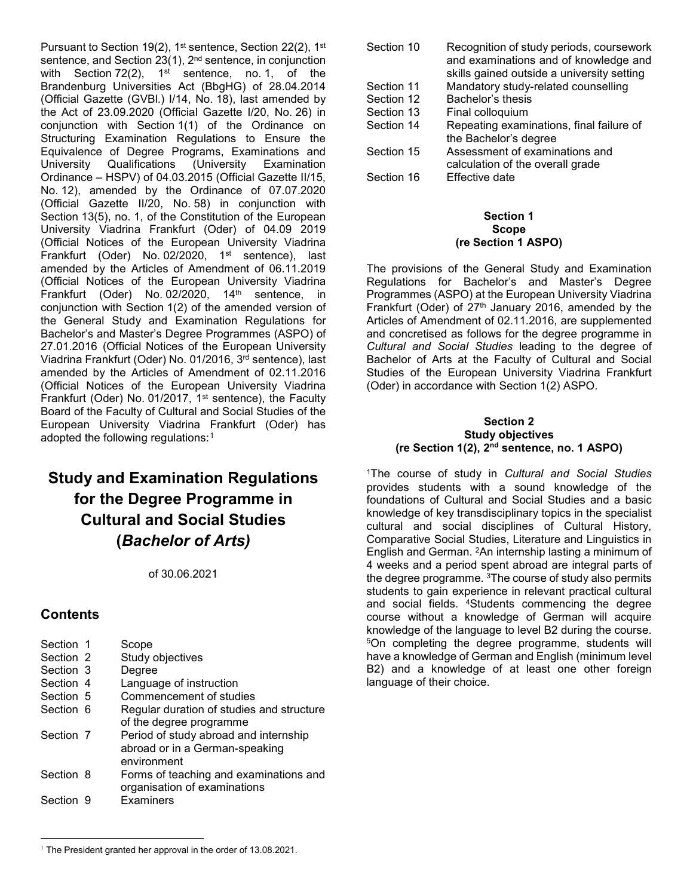Pursuant to Section 19(2), 1<sup>st</sup> sentence, Section 22(2), 1<sup>st</sup> sentence, and Section 23(1), 2<sup>nd</sup> sentence, in conjunction with Section  $72(2)$ ,  $1^{st}$  sentence, no. 1, of the Brandenburg Universities Act (BbgHG) of 28.04.2014 (Official Gazette (GVBl.) I/14, No. 18), last amended by the Act of 23.09.2020 (Official Gazette I/20, No. 26) in conjunction with Section 1(1) of the Ordinance on Structuring Examination Regulations to Ensure the Equivalence of Degree Programs, Examinations and University Qualifications (University Examination Ordinance – HSPV) of 04.03.2015 (Official Gazette II/15, No. 12), amended by the Ordinance of 07.07.2020 (Official Gazette II/20, No. 58) in conjunction with Section 13(5), no. 1, of the Constitution of the European University Viadrina Frankfurt (Oder) of 04.09 2019 (Official Notices of the European University Viadrina Frankfurt (Oder) No. 02/2020, 1<sup>st</sup> sentence), last amended by the Articles of Amendment of 06.11.2019 (Official Notices of the European University Viadrina Frankfurt (Oder) No. 02/2020, 14<sup>th</sup> sentence, in conjunction with Section 1(2) of the amended version of the General Study and Examination Regulations for Bachelor's and Master's Degree Programmes (ASPO) of 27.01.2016 (Official Notices of the European University Viadrina Frankfurt (Oder) No. 01/2016, 3rd sentence), last amended by the Articles of Amendment of 02.11.2016 (Official Notices of the European University Viadrina Frankfurt (Oder) No. 01/2017, 1st sentence), the Faculty Board of the Faculty of Cultural and Social Studies of the European University Viadrina Frankfurt (Oder) has adopted the following regulations:<sup>[1](#page-0-0)</sup>

# **Study and Examination Regulations for the Degree Programme in Cultural and Social Studies (***Bachelor of Arts)*

of 30.06.2021

# **Contents**

| Section 1 | Scope                                                                                  |
|-----------|----------------------------------------------------------------------------------------|
| Section 2 | Study objectives                                                                       |
| Section 3 | Degree                                                                                 |
| Section 4 | Language of instruction                                                                |
| Section 5 | Commencement of studies                                                                |
| Section 6 | Regular duration of studies and structure<br>of the degree programme                   |
| Section 7 | Period of study abroad and internship<br>abroad or in a German-speaking<br>environment |
| Section 8 | Forms of teaching and examinations and<br>organisation of examinations                 |
| Section 9 | Examiners                                                                              |

| Section 10 | Recognition of study periods, coursework<br>and examinations and of knowledge and |
|------------|-----------------------------------------------------------------------------------|
|            | skills gained outside a university setting                                        |
| Section 11 | Mandatory study-related counselling                                               |
| Section 12 | Bachelor's thesis                                                                 |
| Section 13 | Final colloquium                                                                  |
| Section 14 | Repeating examinations, final failure of                                          |
|            | the Bachelor's degree                                                             |
| Section 15 | Assessment of examinations and                                                    |
|            | calculation of the overall grade                                                  |
| Section 16 | Effective date                                                                    |

#### **Section 1 Scope (re Section 1 ASPO)**

The provisions of the General Study and Examination Regulations for Bachelor's and Master's Degree Programmes (ASPO) at the European University Viadrina Frankfurt (Oder) of  $27<sup>th</sup>$  January 2016, amended by the Articles of Amendment of 02.11.2016, are supplemented and concretised as follows for the degree programme in *Cultural and Social Studies* leading to the degree of Bachelor of Arts at the Faculty of Cultural and Social Studies of the European University Viadrina Frankfurt (Oder) in accordance with Section 1(2) ASPO.

#### **Section 2 Study objectives (re Section 1(2), 2nd sentence, no. 1 ASPO)**

1The course of study in *Cultural and Social Studies* provides students with a sound knowledge of the foundations of Cultural and Social Studies and a basic knowledge of key transdisciplinary topics in the specialist cultural and social disciplines of Cultural History, Comparative Social Studies, Literature and Linguistics in English and German. 2An internship lasting a minimum of 4 weeks and a period spent abroad are integral parts of the degree programme. <sup>3</sup>The course of study also permits students to gain experience in relevant practical cultural and social fields. 4Students commencing the degree course without a knowledge of German will acquire knowledge of the language to level B2 during the course. 5On completing the degree programme, students will have a knowledge of German and English (minimum level B2) and a knowledge of at least one other foreign language of their choice.

<span id="page-0-0"></span><sup>&</sup>lt;sup>1</sup> The President granted her approval in the order of 13.08.2021.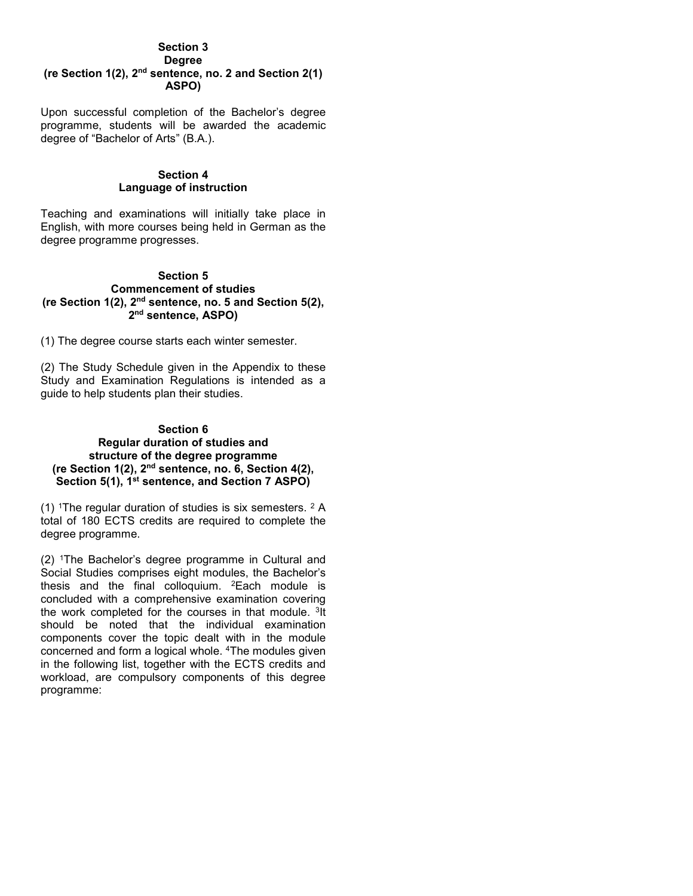#### **Section 3 Degree (re Section 1(2), 2nd sentence, no. 2 and Section 2(1) ASPO)**

Upon successful completion of the Bachelor's degree programme, students will be awarded the academic degree of "Bachelor of Arts" (B.A.).

### **Section 4 Language of instruction**

Teaching and examinations will initially take place in English, with more courses being held in German as the degree programme progresses.

#### **Section 5 Commencement of studies (re Section 1(2), 2nd sentence, no. 5 and Section 5(2), 2nd sentence, ASPO)**

(1) The degree course starts each winter semester.

(2) The Study Schedule given in the Appendix to these Study and Examination Regulations is intended as a guide to help students plan their studies.

#### **Section 6 Regular duration of studies and structure of the degree programme (re Section 1(2), 2nd sentence, no. 6, Section 4(2), Section 5(1), 1st sentence, and Section 7 ASPO)**

(1) <sup>1</sup>The regular duration of studies is six semesters.  $2$  A total of 180 ECTS credits are required to complete the degree programme.

(2) 1The Bachelor's degree programme in Cultural and Social Studies comprises eight modules, the Bachelor's thesis and the final colloquium. 2Each module is concluded with a comprehensive examination covering the work completed for the courses in that module. 3It should be noted that the individual examination components cover the topic dealt with in the module concerned and form a logical whole. 4The modules given in the following list, together with the ECTS credits and workload, are compulsory components of this degree programme: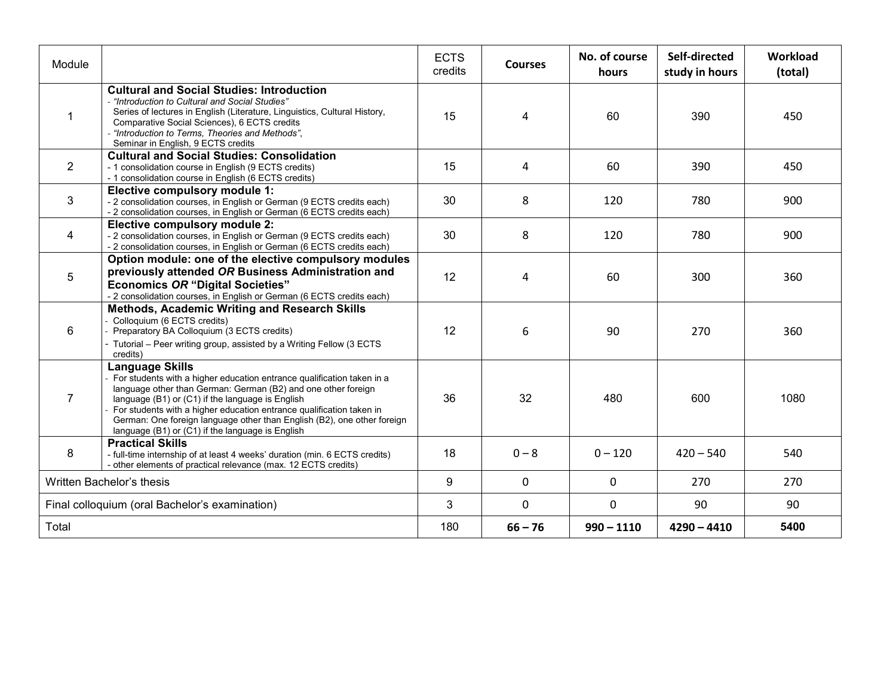| Module                                         |                                                                                                                                                                                                                                                                                                                                                                                                                       | <b>ECTS</b><br>credits | <b>Courses</b> | No. of course<br>hours | Self-directed<br>study in hours | Workload<br>(total) |
|------------------------------------------------|-----------------------------------------------------------------------------------------------------------------------------------------------------------------------------------------------------------------------------------------------------------------------------------------------------------------------------------------------------------------------------------------------------------------------|------------------------|----------------|------------------------|---------------------------------|---------------------|
|                                                | <b>Cultural and Social Studies: Introduction</b><br>- "Introduction to Cultural and Social Studies"<br>Series of lectures in English (Literature, Linguistics, Cultural History,<br>Comparative Social Sciences), 6 ECTS credits<br>"Introduction to Terms, Theories and Methods",<br>Seminar in English, 9 ECTS credits                                                                                              |                        | $\overline{4}$ | 60                     | 390                             | 450                 |
| $\overline{2}$                                 | <b>Cultural and Social Studies: Consolidation</b><br>- 1 consolidation course in English (9 ECTS credits)<br>- 1 consolidation course in English (6 ECTS credits)                                                                                                                                                                                                                                                     |                        | 4              | 60                     | 390                             | 450                 |
| 3                                              | Elective compulsory module 1:<br>- 2 consolidation courses, in English or German (9 ECTS credits each)<br>- 2 consolidation courses, in English or German (6 ECTS credits each)                                                                                                                                                                                                                                       |                        | 8              | 120                    | 780                             | 900                 |
| 4                                              | Elective compulsory module 2:<br>- 2 consolidation courses, in English or German (9 ECTS credits each)<br>- 2 consolidation courses, in English or German (6 ECTS credits each)                                                                                                                                                                                                                                       |                        | 8              | 120                    | 780                             | 900                 |
| 5                                              | Option module: one of the elective compulsory modules<br>previously attended OR Business Administration and<br><b>Economics OR "Digital Societies"</b><br>2 consolidation courses, in English or German (6 ECTS credits each)                                                                                                                                                                                         |                        | 4              | 60                     | 300                             | 360                 |
| 6                                              | Methods, Academic Writing and Research Skills<br>Colloquium (6 ECTS credits)<br>Preparatory BA Colloquium (3 ECTS credits)<br>- Tutorial - Peer writing group, assisted by a Writing Fellow (3 ECTS<br>credits)                                                                                                                                                                                                       | 12                     | 6              | 90                     | 270                             | 360                 |
| $\overline{7}$                                 | Language Skills<br>For students with a higher education entrance qualification taken in a<br>language other than German: German (B2) and one other foreign<br>language (B1) or (C1) if the language is English<br>For students with a higher education entrance qualification taken in<br>German: One foreign language other than English (B2), one other foreign<br>language (B1) or (C1) if the language is English | 36                     | 32             | 480                    | 600                             | 1080                |
| 8                                              | <b>Practical Skills</b><br>- full-time internship of at least 4 weeks' duration (min. 6 ECTS credits)<br>- other elements of practical relevance (max. 12 ECTS credits)                                                                                                                                                                                                                                               | 18                     | $0 - 8$        | $0 - 120$              | $420 - 540$                     | 540                 |
| Written Bachelor's thesis                      |                                                                                                                                                                                                                                                                                                                                                                                                                       | 9                      | $\mathbf 0$    | 0                      | 270                             | 270                 |
| Final colloquium (oral Bachelor's examination) |                                                                                                                                                                                                                                                                                                                                                                                                                       | 3                      | $\mathbf 0$    | 0                      | 90                              | 90                  |
| Total                                          |                                                                                                                                                                                                                                                                                                                                                                                                                       | 180                    | $66 - 76$      | $990 - 1110$           | $4290 - 4410$                   | 5400                |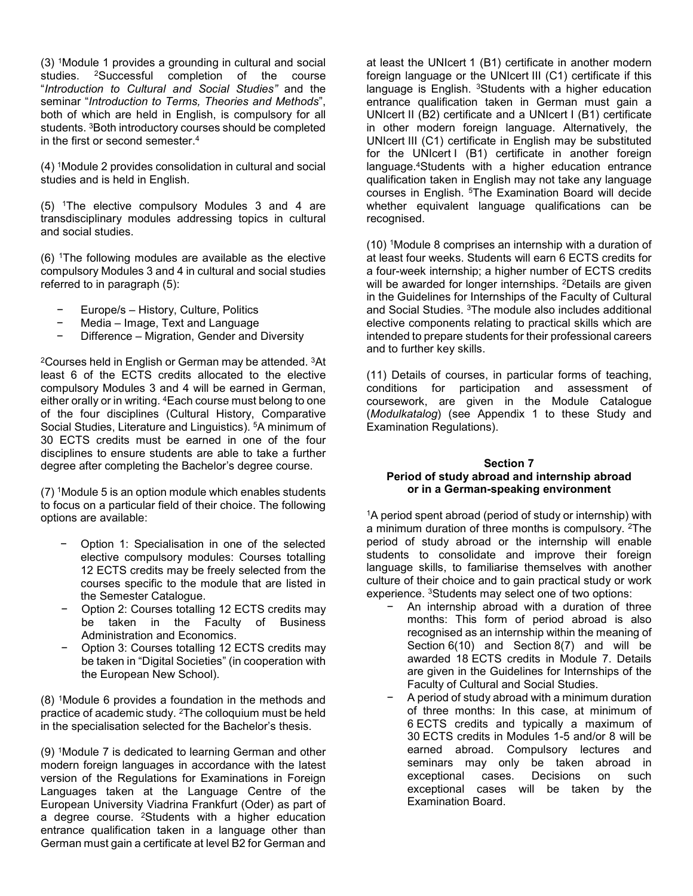(3) 1Module 1 provides a grounding in cultural and social studies. 2Successful completion of the course "*Introduction to Cultural and Social Studies"* and the seminar "*Introduction to Terms, Theories and Methods*", both of which are held in English, is compulsory for all students. 3Both introductory courses should be completed in the first or second semester.4

(4) 1Module 2 provides consolidation in cultural and social studies and is held in English.

(5) 1The elective compulsory Modules 3 and 4 are transdisciplinary modules addressing topics in cultural and social studies.

(6) 1The following modules are available as the elective compulsory Modules 3 and 4 in cultural and social studies referred to in paragraph (5):

- − Europe/s History, Culture, Politics
- − Media Image, Text and Language
- − Difference Migration, Gender and Diversity

2Courses held in English or German may be attended. 3At least 6 of the ECTS credits allocated to the elective compulsory Modules 3 and 4 will be earned in German, either orally or in writing. 4Each course must belong to one of the four disciplines (Cultural History, Comparative Social Studies, Literature and Linguistics). 5A minimum of 30 ECTS credits must be earned in one of the four disciplines to ensure students are able to take a further degree after completing the Bachelor's degree course.

(7) 1Module 5 is an option module which enables students to focus on a particular field of their choice. The following options are available:

- − Option 1: Specialisation in one of the selected elective compulsory modules: Courses totalling 12 ECTS credits may be freely selected from the courses specific to the module that are listed in the Semester Catalogue.
- − Option 2: Courses totalling 12 ECTS credits may be taken in the Faculty of Business Administration and Economics.
- − Option 3: Courses totalling 12 ECTS credits may be taken in "Digital Societies" (in cooperation with the European New School).

(8) 1Module 6 provides a foundation in the methods and practice of academic study. 2The colloquium must be held in the specialisation selected for the Bachelor's thesis.

(9) 1Module 7 is dedicated to learning German and other modern foreign languages in accordance with the latest version of the Regulations for Examinations in Foreign Languages taken at the Language Centre of the European University Viadrina Frankfurt (Oder) as part of a degree course. 2Students with a higher education entrance qualification taken in a language other than German must gain a certificate at level B2 for German and

at least the UNIcert 1 (B1) certificate in another modern foreign language or the UNIcert III (C1) certificate if this language is English. <sup>3</sup>Students with a higher education entrance qualification taken in German must gain a UNIcert II (B2) certificate and a UNIcert I (B1) certificate in other modern foreign language. Alternatively, the UNIcert III (C1) certificate in English may be substituted for the UNIcert I (B1) certificate in another foreign language.4Students with a higher education entrance qualification taken in English may not take any language courses in English. 5The Examination Board will decide whether equivalent language qualifications can be recognised.

(10) 1Module 8 comprises an internship with a duration of at least four weeks. Students will earn 6 ECTS credits for a four-week internship; a higher number of ECTS credits will be awarded for longer internships. <sup>2</sup>Details are given in the Guidelines for Internships of the Faculty of Cultural and Social Studies. 3The module also includes additional elective components relating to practical skills which are intended to prepare students for their professional careers and to further key skills.

(11) Details of courses, in particular forms of teaching, conditions for participation and assessment of coursework, are given in the Module Catalogue (*Modulkatalog*) (see Appendix 1 to these Study and Examination Regulations).

# **Section 7 Period of study abroad and internship abroad or in a German-speaking environment**

<sup>1</sup>A period spent abroad (period of study or internship) with a minimum duration of three months is compulsory. 2The period of study abroad or the internship will enable students to consolidate and improve their foreign language skills, to familiarise themselves with another culture of their choice and to gain practical study or work experience. 3Students may select one of two options:

- An internship abroad with a duration of three months: This form of period abroad is also recognised as an internship within the meaning of Section 6(10) and Section 8(7) and will be awarded 18 ECTS credits in Module 7. Details are given in the Guidelines for Internships of the Faculty of Cultural and Social Studies.
- A period of study abroad with a minimum duration of three months: In this case, at minimum of 6 ECTS credits and typically a maximum of 30 ECTS credits in Modules 1-5 and/or 8 will be earned abroad. Compulsory lectures and seminars may only be taken abroad in exceptional cases. Decisions on such exceptional cases will be taken by the Examination Board.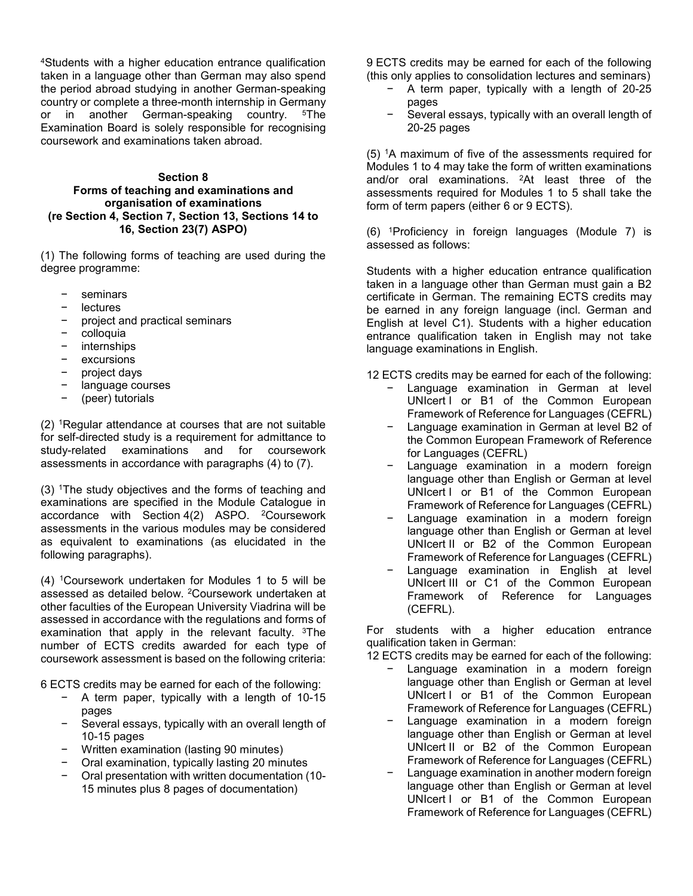4Students with a higher education entrance qualification taken in a language other than German may also spend the period abroad studying in another German-speaking country or complete a three-month internship in Germany or in another German-speaking country. <sup>5</sup>The Examination Board is solely responsible for recognising coursework and examinations taken abroad.

#### **Section 8**

# **Forms of teaching and examinations and organisation of examinations (re Section 4, Section 7, Section 13, Sections 14 to 16, Section 23(7) ASPO)**

(1) The following forms of teaching are used during the degree programme:

- seminars
- − lectures
- project and practical seminars
- − colloquia
- − internships
- excursions
- − project days
- − language courses
- − (peer) tutorials

(2) 1Regular attendance at courses that are not suitable for self-directed study is a requirement for admittance to study-related examinations and for coursework assessments in accordance with paragraphs (4) to (7).

(3) 1The study objectives and the forms of teaching and examinations are specified in the Module Catalogue in accordance with Section 4(2) ASPO. 2Coursework assessments in the various modules may be considered as equivalent to examinations (as elucidated in the following paragraphs).

(4) 1Coursework undertaken for Modules 1 to 5 will be assessed as detailed below. 2Coursework undertaken at other faculties of the European University Viadrina will be assessed in accordance with the regulations and forms of examination that apply in the relevant faculty. <sup>3</sup>The number of ECTS credits awarded for each type of coursework assessment is based on the following criteria:

6 ECTS credits may be earned for each of the following:

- − A term paper, typically with a length of 10-15 pages
- Several essays, typically with an overall length of 10-15 pages
- − Written examination (lasting 90 minutes)
- − Oral examination, typically lasting 20 minutes
- − Oral presentation with written documentation (10- 15 minutes plus 8 pages of documentation)

9 ECTS credits may be earned for each of the following (this only applies to consolidation lectures and seminars)

- − A term paper, typically with a length of 20-25 pages
- Several essays, typically with an overall length of 20-25 pages

(5) 1A maximum of five of the assessments required for Modules 1 to 4 may take the form of written examinations and/or oral examinations. 2At least three of the assessments required for Modules 1 to 5 shall take the form of term papers (either 6 or 9 ECTS).

(6) 1Proficiency in foreign languages (Module 7) is assessed as follows:

Students with a higher education entrance qualification taken in a language other than German must gain a B2 certificate in German. The remaining ECTS credits may be earned in any foreign language (incl. German and English at level C1). Students with a higher education entrance qualification taken in English may not take language examinations in English.

12 ECTS credits may be earned for each of the following:

- Language examination in German at level UNIcert I or B1 of the Common European Framework of Reference for Languages (CEFRL)
- − Language examination in German at level B2 of the Common European Framework of Reference for Languages (CEFRL)
- Language examination in a modern foreign language other than English or German at level UNIcert I or B1 of the Common European Framework of Reference for Languages (CEFRL)
- Language examination in a modern foreign language other than English or German at level UNIcert II or B2 of the Common European Framework of Reference for Languages (CEFRL)
- Language examination in English at level UNIcert III or C1 of the Common European Framework of Reference for Languages (CEFRL).

For students with a higher education entrance qualification taken in German:

12 ECTS credits may be earned for each of the following:

- − Language examination in a modern foreign language other than English or German at level UNIcert I or B1 of the Common European Framework of Reference for Languages (CEFRL)
- Language examination in a modern foreign language other than English or German at level UNIcert II or B2 of the Common European Framework of Reference for Languages (CEFRL)
- Language examination in another modern foreign language other than English or German at level UNIcert I or B1 of the Common European Framework of Reference for Languages (CEFRL)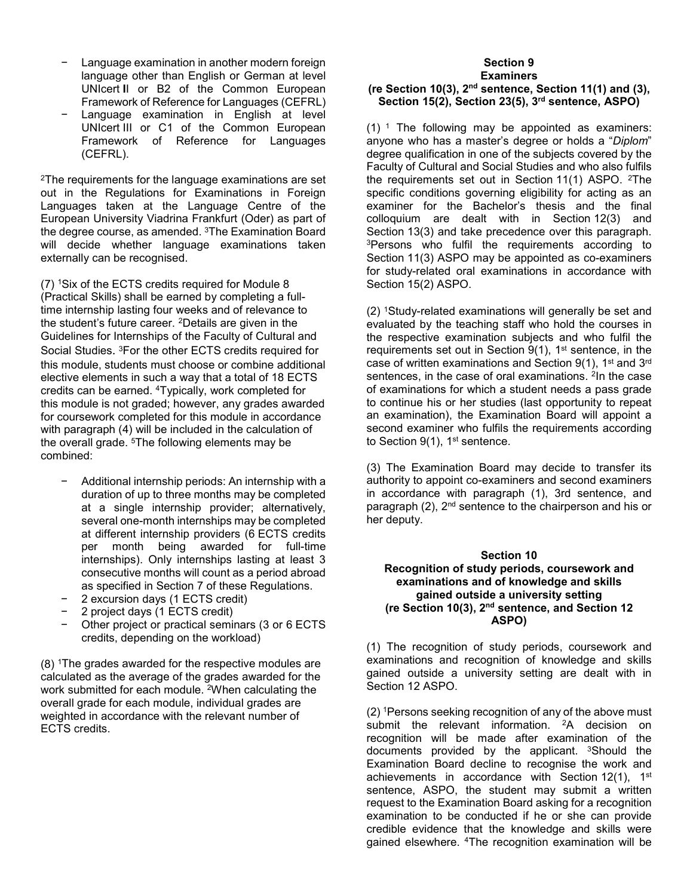- Language examination in another modern foreign language other than English or German at level UNIcert **I**I or B2 of the Common European Framework of Reference for Languages (CEFRL)
- Language examination in English at level UNIcert III or C1 of the Common European Framework of Reference for Languages (CEFRL).

2The requirements for the language examinations are set out in the Regulations for Examinations in Foreign Languages taken at the Language Centre of the European University Viadrina Frankfurt (Oder) as part of the degree course, as amended. 3The Examination Board will decide whether language examinations taken externally can be recognised.

(7) 1Six of the ECTS credits required for Module 8 (Practical Skills) shall be earned by completing a fulltime internship lasting four weeks and of relevance to the student's future career. 2Details are given in the Guidelines for Internships of the Faculty of Cultural and Social Studies. 3For the other ECTS credits required for this module, students must choose or combine additional elective elements in such a way that a total of 18 ECTS credits can be earned. 4Typically, work completed for this module is not graded; however, any grades awarded for coursework completed for this module in accordance with paragraph (4) will be included in the calculation of the overall grade. 5The following elements may be combined:

- − Additional internship periods: An internship with a duration of up to three months may be completed at a single internship provider; alternatively, several one-month internships may be completed at different internship providers (6 ECTS credits per month being awarded for full-time internships). Only internships lasting at least 3 consecutive months will count as a period abroad as specified in Section 7 of these Regulations.
- − 2 excursion days (1 ECTS credit)
- − 2 project days (1 ECTS credit)
- Other project or practical seminars (3 or 6 ECTS credits, depending on the workload)

(8) 1The grades awarded for the respective modules are calculated as the average of the grades awarded for the work submitted for each module. 2When calculating the overall grade for each module, individual grades are weighted in accordance with the relevant number of ECTS credits.

#### **Section 9 Examiners**

# **(re Section 10(3), 2nd sentence, Section 11(1) and (3), Section 15(2), Section 23(5), 3rd sentence, ASPO)**

 $(1)$ <sup>1</sup> The following may be appointed as examiners: anyone who has a master's degree or holds a "*Diplom*" degree qualification in one of the subjects covered by the Faculty of Cultural and Social Studies and who also fulfils the requirements set out in Section 11(1) ASPO. <sup>2</sup>The specific conditions governing eligibility for acting as an examiner for the Bachelor's thesis and the final colloquium are dealt with in Section 12(3) and<br>Section 13(3) and take-precedence-over-this-paragraph. <sup>3</sup>Persons who fulfil the requirements according to Section 11(3) ASPO may be appointed as co-examiners for study-related oral examinations in accordance with Section 15(2) ASPO.

(2) 1Study-related examinations will generally be set and evaluated by the teaching staff who hold the courses in the respective examination subjects and who fulfil the requirements set out in Section 9(1), 1<sup>st</sup> sentence, in the case of written examinations and Section 9(1), 1st and 3rd sentences, in the case of oral examinations. 2In the case of examinations for which a student needs a pass grade to continue his or her studies (last opportunity to repeat an examination), the Examination Board will appoint a second examiner who fulfils the requirements according to Section 9(1), 1<sup>st</sup> sentence.

(3) The Examination Board may decide to transfer its authority to appoint co-examiners and second examiners in accordance with paragraph (1), 3rd sentence, and paragraph (2), 2<sup>nd</sup> sentence to the chairperson and his or her deputy.

#### **Section 10 Recognition of study periods, coursework and examinations and of knowledge and skills gained outside a university setting (re Section 10(3), 2nd sentence, and Section 12 ASPO)**

(1) The recognition of study periods, coursework and examinations and recognition of knowledge and skills gained outside a university setting are dealt with in Section 12 ASPO.

(2) 1Persons seeking recognition of any of the above must submit the relevant information. <sup>2</sup>A decision on recognition will be made after examination of the documents provided by the applicant. 3Should the Examination Board decline to recognise the work and achievements in accordance with Section  $12(1)$ ,  $1^{st}$ sentence, ASPO, the student may submit a written request to the Examination Board asking for a recognition examination to be conducted if he or she can provide credible evidence that the knowledge and skills were gained elsewhere. 4The recognition examination will be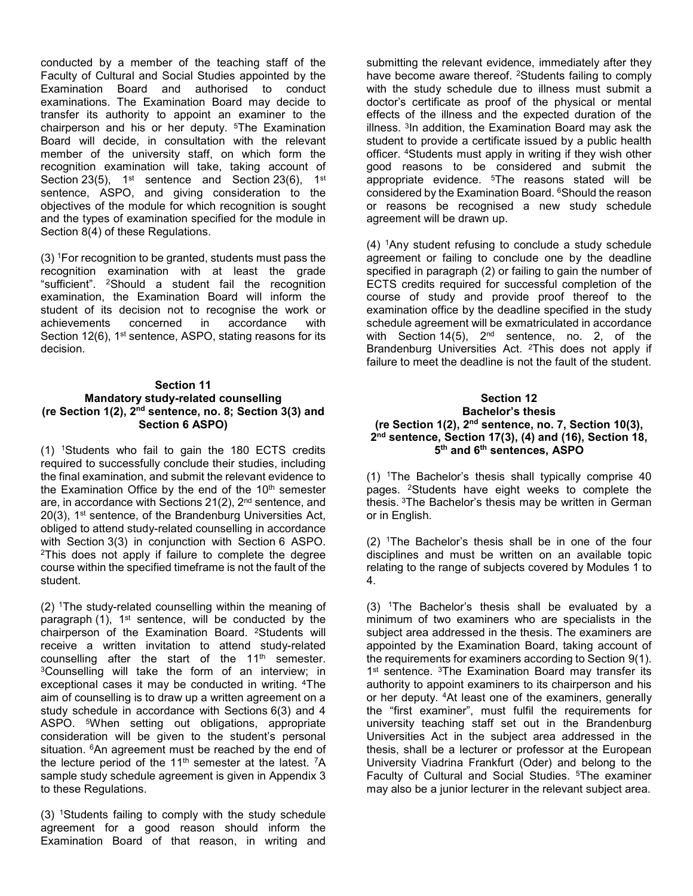conducted by a member of the teaching staff of the Faculty of Cultural and Social Studies appointed by the Examination Board and authorised to conduct examinations. The Examination Board may decide to transfer its authority to appoint an examiner to the chairperson and his or her deputy. 5The Examination Board will decide, in consultation with the relevant member of the university staff, on which form the recognition examination will take, taking account of Section 23(5), 1<sup>st</sup> sentence and Section 23(6), 1<sup>st</sup> sentence, ASPO, and giving consideration to the objectives of the module for which recognition is sought and the types of examination specified for the module in Section 8(4) of these Regulations.

(3) 1For recognition to be granted, students must pass the recognition examination with at least the grade "sufficient". 2Should a student fail the recognition examination, the Examination Board will inform the student of its decision not to recognise the work or<br>achievements concerned in accordance with achievements concerned in accordance with Section 12(6), 1<sup>st</sup> sentence, ASPO, stating reasons for its decision.

# **Section 11 Mandatory study-related counselling (re Section 1(2), 2nd sentence, no. 8; Section 3(3) and Section 6 ASPO)**

(1) 1Students who fail to gain the 180 ECTS credits required to successfully conclude their studies, including the final examination, and submit the relevant evidence to the Examination Office by the end of the  $10<sup>th</sup>$  semester are, in accordance with Sections 21(2), 2<sup>nd</sup> sentence, and 20(3), 1st sentence, of the Brandenburg Universities Act, obliged to attend study-related counselling in accordance with Section 3(3) in conjunction with Section 6 ASPO. 2This does not apply if failure to complete the degree course within the specified timeframe is not the fault of the student.

(2) 1The study-related counselling within the meaning of paragraph  $(1)$ , 1<sup>st</sup> sentence, will be conducted by the chairperson of the Examination Board. 2Students will receive a written invitation to attend study-related counselling after the start of the  $11<sup>th</sup>$  semester. 3Counselling will take the form of an interview; in exceptional cases it may be conducted in writing. 4The aim of counselling is to draw up a written agreement on a study schedule in accordance with Sections 6(3) and 4 ASPO. <sup>5</sup>When setting out obligations, appropriate consideration will be given to the student's personal situation. <sup>6</sup>An agreement must be reached by the end of the lecture period of the 11<sup>th</sup> semester at the latest.  $7A$ sample study schedule agreement is given in Appendix 3 to these Regulations.

(3) 1Students failing to comply with the study schedule agreement for a good reason should inform the Examination Board of that reason, in writing and

submitting the relevant evidence, immediately after they have become aware thereof. <sup>2</sup>Students failing to comply with the study schedule due to illness must submit a doctor's certificate as proof of the physical or mental effects of the illness and the expected duration of the illness.  $3$ In addition, the Examination Board may ask the student to provide a certificate issued by a public health officer. 4Students must apply in writing if they wish other good reasons to be considered and submit the appropriate evidence. <sup>5</sup>The reasons stated will be considered by the Examination Board. 6Should the reason or reasons be recognised a new study schedule agreement will be drawn up.

(4) 1Any student refusing to conclude a study schedule agreement or failing to conclude one by the deadline specified in paragraph (2) or failing to gain the number of ECTS credits required for successful completion of the course of study and provide proof thereof to the examination office by the deadline specified in the study schedule agreement will be exmatriculated in accordance with Section 14(5), 2<sup>nd</sup> sentence, no. 2, of the Brandenburg Universities Act. 2This does not apply if failure to meet the deadline is not the fault of the student.

# **Section 12 Bachelor's thesis (re Section 1(2), 2nd sentence, no. 7, Section 10(3), 2nd sentence, Section 17(3), (4) and (16), Section 18, 5th and 6th sentences, ASPO**

(1) 1The Bachelor's thesis shall typically comprise 40 pages. 2Students have eight weeks to complete the thesis. 3The Bachelor's thesis may be written in German or in English.

(2) 1The Bachelor's thesis shall be in one of the four disciplines and must be written on an available topic relating to the range of subjects covered by Modules 1 to 4.

(3) 1The Bachelor's thesis shall be evaluated by a minimum of two examiners who are specialists in the subject area addressed in the thesis. The examiners are appointed by the Examination Board, taking account of the requirements for examiners according to Section 9(1). 1<sup>st</sup> sentence. <sup>3</sup>The Examination Board may transfer its authority to appoint examiners to its chairperson and his or her deputy. <sup>4</sup>At least one of the examiners, generally the "first examiner", must fulfil the requirements for university teaching staff set out in the Brandenburg Universities Act in the subject area addressed in the thesis, shall be a lecturer or professor at the European University Viadrina Frankfurt (Oder) and belong to the Faculty of Cultural and Social Studies. 5The examiner may also be a junior lecturer in the relevant subject area.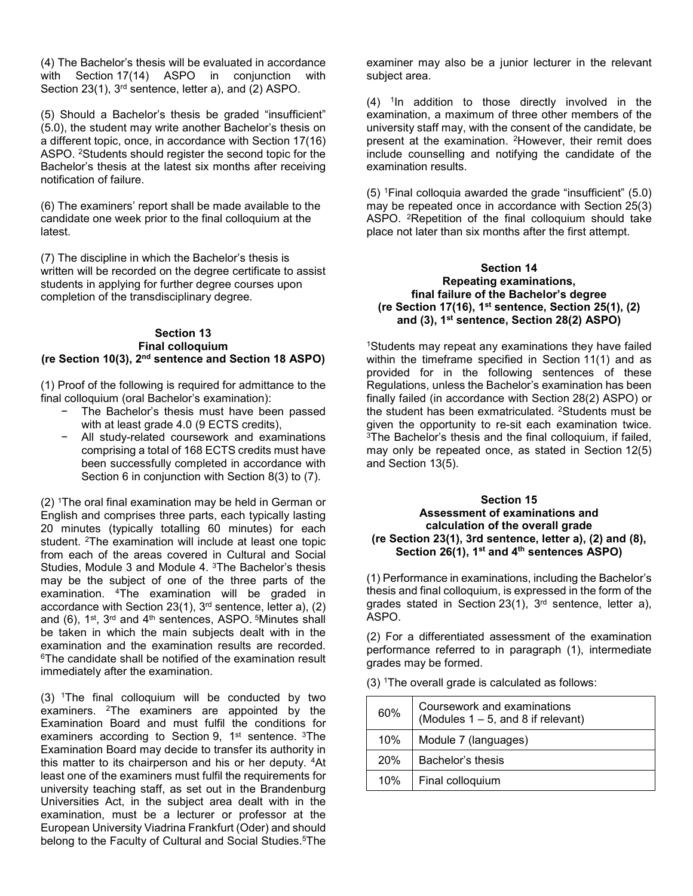(4) The Bachelor's thesis will be evaluated in accordance with Section 17(14) ASPO in conjunction with Section 23(1), 3<sup>rd</sup> sentence, letter a), and (2) ASPO.

(5) Should a Bachelor's thesis be graded "insufficient" (5.0), the student may write another Bachelor's thesis on a different topic, once, in accordance with Section 17(16) ASPO. 2Students should register the second topic for the Bachelor's thesis at the latest six months after receiving notification of failure.

(6) The examiners' report shall be made available to the candidate one week prior to the final colloquium at the latest.

(7) The discipline in which the Bachelor's thesis is written will be recorded on the degree certificate to assist students in applying for further degree courses upon completion of the transdisciplinary degree.

### **Section 13 Final colloquium (re Section 10(3), 2nd sentence and Section 18 ASPO)**

(1) Proof of the following is required for admittance to the final colloquium (oral Bachelor's examination):

- − The Bachelor's thesis must have been passed with at least grade 4.0 (9 ECTS credits).
- − All study-related coursework and examinations comprising a total of 168 ECTS credits must have been successfully completed in accordance with Section 6 in conjunction with Section 8(3) to (7).

(2) 1The oral final examination may be held in German or English and comprises three parts, each typically lasting 20 minutes (typically totalling 60 minutes) for each student. 2The examination will include at least one topic from each of the areas covered in Cultural and Social Studies, Module 3 and Module 4. 3The Bachelor's thesis may be the subject of one of the three parts of the examination. 4The examination will be graded in accordance with Section 23(1),  $3<sup>rd</sup>$  sentence, letter a), (2) and (6),  $1^{st}$ ,  $3^{rd}$  and  $4^{th}$  sentences, ASPO.  $5$ Minutes shall be taken in which the main subjects dealt with in the examination and the examination results are recorded. 6The candidate shall be notified of the examination result immediately after the examination.

(3) 1The final colloquium will be conducted by two examiners. 2The examiners are appointed by the Examination Board and must fulfil the conditions for examiners according to Section 9, 1<sup>st</sup> sentence. <sup>3</sup>The Examination Board may decide to transfer its authority in this matter to its chairperson and his or her deputy. <sup>4</sup>At least one of the examiners must fulfil the requirements for university teaching staff, as set out in the Brandenburg Universities Act, in the subject area dealt with in the examination, must be a lecturer or professor at the European University Viadrina Frankfurt (Oder) and should belong to the Faculty of Cultural and Social Studies.<sup>5</sup>The

examiner may also be a junior lecturer in the relevant subject area.

 $(4)$  <sup>1</sup>In addition to those directly involved in the examination, a maximum of three other members of the university staff may, with the consent of the candidate, be present at the examination. 2However, their remit does include counselling and notifying the candidate of the examination results.

(5) 1Final colloquia awarded the grade "insufficient" (5.0) may be repeated once in accordance with Section 25(3) ASPO. 2Repetition of the final colloquium should take place not later than six months after the first attempt.

### **Section 14 Repeating examinations, final failure of the Bachelor's degree (re Section 17(16), 1st sentence, Section 25(1), (2) and (3), 1st sentence, Section 28(2) ASPO)**

1Students may repeat any examinations they have failed within the timeframe specified in Section 11(1) and as provided for in the following sentences of these Regulations, unless the Bachelor's examination has been finally failed (in accordance with Section 28(2) ASPO) or the student has been exmatriculated. 2Students must be given the opportunity to re-sit each examination twice. 3The Bachelor's thesis and the final colloquium, if failed, may only be repeated once, as stated in Section 12(5) and Section 13(5).

### **Section 15 Assessment of examinations and calculation of the overall grade (re Section 23(1), 3rd sentence, letter a), (2) and (8), Section 26(1), 1st and 4th sentences ASPO)**

(1) Performance in examinations, including the Bachelor's thesis and final colloquium, is expressed in the form of the grades stated in Section 23(1),  $3<sup>rd</sup>$  sentence, letter a), ASPO.

(2) For a differentiated assessment of the examination performance referred to in paragraph (1), intermediate grades may be formed.

(3) 1The overall grade is calculated as follows:

| 60% | Coursework and examinations<br>(Modules $1 - 5$ , and 8 if relevant) |
|-----|----------------------------------------------------------------------|
| 10% | Module 7 (languages)                                                 |
| 20% | Bachelor's thesis                                                    |
| 10% | Final colloquium                                                     |